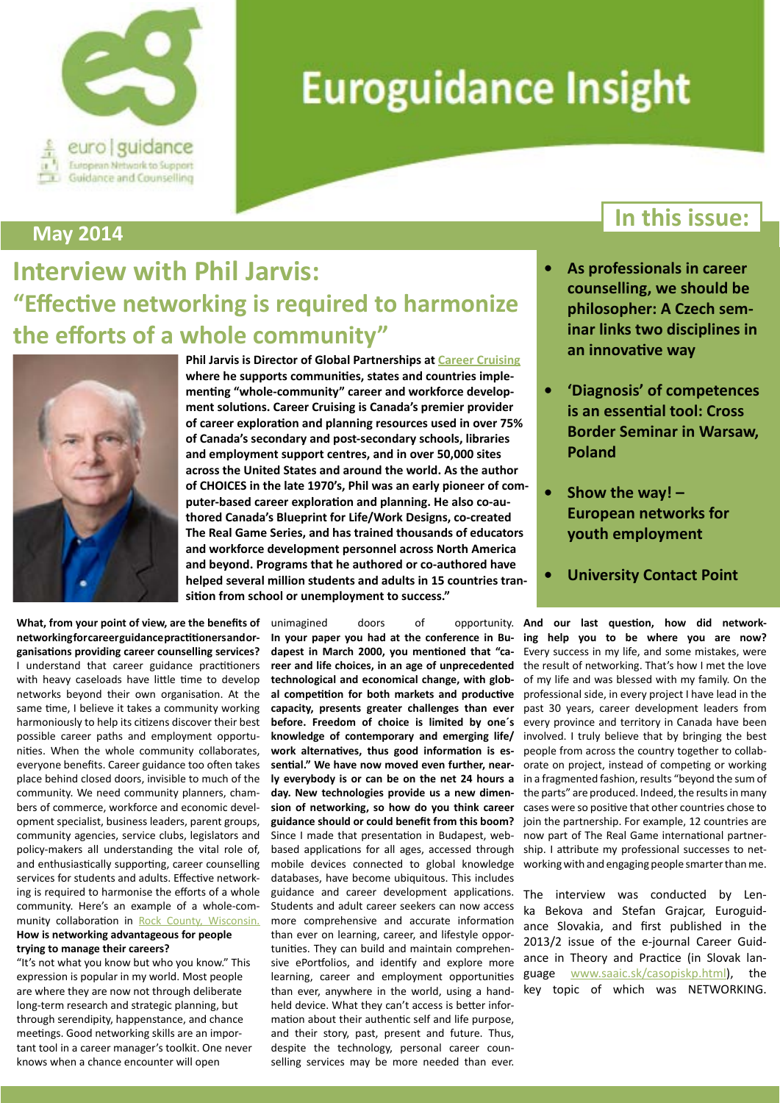

# **Euroguidance Insight**

#### **May 2014**

## **Interview with Phil Jarvis: "Effective networking is required to harmonize the efforts of a whole community"**



**What, from your point of view, are the benefits of networkingforcareerguidancepractitionersandorganisations providing career counselling services?** I understand that career guidance practitioners with heavy caseloads have little time to develop networks beyond their own organisation. At the same time, I believe it takes a community working harmoniously to help its citizens discover their best possible career paths and employment opportunities. When the whole community collaborates, everyone benefits. Career guidance too often takes place behind closed doors, invisible to much of the community. We need community planners, chambers of commerce, workforce and economic development specialist, business leaders, parent groups, community agencies, service clubs, legislators and policy-makers all understanding the vital role of, and enthusiastically supporting, career counselling services for students and adults. Effective networking is required to harmonise the efforts of a whole community. Here's an example of a whole-community collaboration in [Rock County, Wisconsin](http://www.inspirerockcounty.org).

#### **How is networking advantageous for people trying to manage their careers?**

"It's not what you know but who you know." This expression is popular in my world. Most people are where they are now not through deliberate long-term research and strategic planning, but through serendipity, happenstance, and chance meetings. Good networking skills are an important tool in a career manager's toolkit. One never knows when a chance encounter will open

**Phil Jarvis is Director of Global Partnerships at [Career Cruising](http://public.careercruising.com/ca/en/about-us/phil-jarvis/) where he supports communities, states and countries implementing "whole-community" career and workforce development solutions. Career Cruising is Canada's premier provider of career exploration and planning resources used in over 75% of Canada's secondary and post-secondary schools, libraries and employment support centres, and in over 50,000 sites across the United States and around the world. As the author of CHOICES in the late 1970's, Phil was an early pioneer of computer-based career exploration and planning. He also co-authored Canada's Blueprint for Life/Work Designs, co-created The Real Game Series, and has trained thousands of educators and workforce development personnel across North America and beyond. Programs that he authored or co-authored have helped several million students and adults in 15 countries transition from school or unemployment to success."**

> unimagined doors of opportunity. **In your paper you had at the conference in Budapest in March 2000, you mentioned that "career and life choices, in an age of unprecedented technological and economical change, with global competition for both markets and productive capacity, presents greater challenges than ever before. Freedom of choice is limited by one´s knowledge of contemporary and emerging life/ work alternatives, thus good information is essential." We have now moved even further, nearly everybody is or can be on the net 24 hours a day. New technologies provide us a new dimension of networking, so how do you think career guidance should or could benefit from this boom?** Since I made that presentation in Budapest, webbased applications for all ages, accessed through mobile devices connected to global knowledge databases, have become ubiquitous. This includes guidance and career development applications. Students and adult career seekers can now access more comprehensive and accurate information than ever on learning, career, and lifestyle opportunities. They can build and maintain comprehensive ePortfolios, and identify and explore more learning, career and employment opportunities than ever, anywhere in the world, using a handheld device. What they can't access is better information about their authentic self and life purpose, and their story, past, present and future. Thus, despite the technology, personal career counselling services may be more needed than ever.

#### **In this issue:**

- **As professionals in career counselling, we should be philosopher: A Czech seminar links two disciplines in an innovative way**
- **• 'Diagnosis' of competences is an essential tool: Cross Border Seminar in Warsaw, Poland**
- **• Show the way! European networks for youth employment**
- **University Contact Point**

**And our last question, how did networking help you to be where you are now?** Every success in my life, and some mistakes, were the result of networking. That's how I met the love of my life and was blessed with my family. On the professional side, in every project I have lead in the past 30 years, career development leaders from every province and territory in Canada have been involved. I truly believe that by bringing the best people from across the country together to collaborate on project, instead of competing or working in a fragmented fashion, results "beyond the sum of the parts" are produced. Indeed, the results in many cases were so positive that other countries chose to join the partnership. For example, 12 countries are now part of The Real Game international partnership. I attribute my professional successes to networking with and engaging people smarter than me.

The interview was conducted by Lenka Bekova and Stefan Grajcar, Euroguidance Slovakia, and first published in the 2013/2 issue of the e-journal Career Guidance in Theory and Practice (in Slovak language [www.saaic.sk/casopiskp.html\),](http://www.saaic.sk/casopiskp.html%29) the key topic of which was NETWORKING.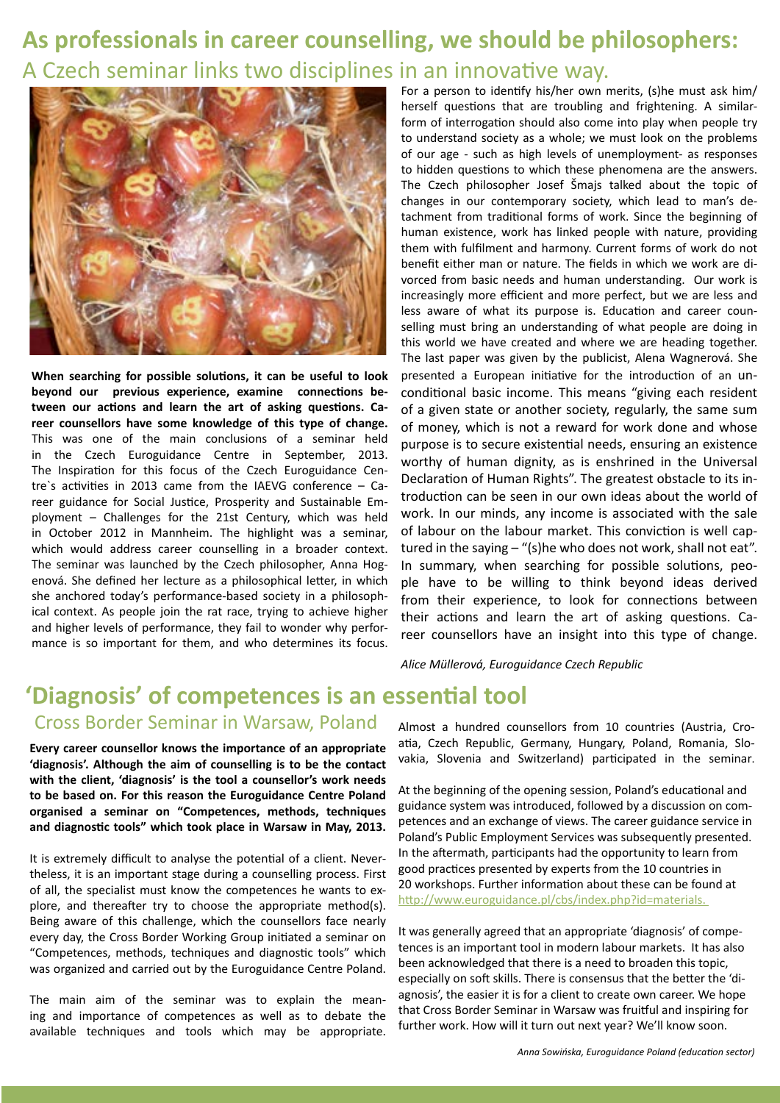### **As professionals in career counselling, we should be philosophers:** A Czech seminar links two disciplines in an innovative way.



**When searching for possible solutions, it can be useful to look beyond our previous experience, examine connections between our actions and learn the art of asking questions. Career counsellors have some knowledge of this type of change.** This was one of the main conclusions of a seminar held in the Czech Euroguidance Centre in September, 2013. The Inspiration for this focus of the Czech Euroguidance Centre`s activities in 2013 came from the IAEVG conference – Career guidance for Social Justice, Prosperity and Sustainable Employment – Challenges for the 21st Century, which was held in October 2012 in Mannheim. The highlight was a seminar, which would address career counselling in a broader context. The seminar was launched by the Czech philosopher, Anna Hogenová. She defined her lecture as a philosophical letter, in which she anchored today's performance-based society in a philosophical context. As people join the rat race, trying to achieve higher and higher levels of performance, they fail to wonder why performance is so important for them, and who determines its focus. For a person to identify his/her own merits, (s)he must ask him/ herself questions that are troubling and frightening. A similarform of interrogation should also come into play when people try to understand society as a whole; we must look on the problems of our age - such as high levels of unemployment- as responses to hidden questions to which these phenomena are the answers. The Czech philosopher Josef Šmajs talked about the topic of changes in our contemporary society, which lead to man's detachment from traditional forms of work. Since the beginning of human existence, work has linked people with nature, providing them with fulfilment and harmony. Current forms of work do not benefit either man or nature. The fields in which we work are divorced from basic needs and human understanding. Our work is increasingly more efficient and more perfect, but we are less and less aware of what its purpose is. Education and career counselling must bring an understanding of what people are doing in this world we have created and where we are heading together. The last paper was given by the publicist, Alena Wagnerová. She presented a European initiative for the introduction of an unconditional basic income. This means "giving each resident of a given state or another society, regularly, the same sum of money, which is not a reward for work done and whose purpose is to secure existential needs, ensuring an existence worthy of human dignity, as is enshrined in the Universal Declaration of Human Rights". The greatest obstacle to its introduction can be seen in our own ideas about the world of work. In our minds, any income is associated with the sale of labour on the labour market. This conviction is well captured in the saying – "(s)he who does not work, shall not eat". In summary, when searching for possible solutions, people have to be willing to think beyond ideas derived from their experience, to look for connections between their actions and learn the art of asking questions. Career counsellors have an insight into this type of change.

*Alice Müllerová, Euroguidance Czech Republic*

#### **'Diagnosis' of competences is an essential tool** Cross Border Seminar in Warsaw, Poland

**Every career counsellor knows the importance of an appropriate 'diagnosis'. Although the aim of counselling is to be the contact with the client, 'diagnosis' is the tool a counsellor's work needs to be based on. For this reason the Euroguidance Centre Poland organised a seminar on "Competences, methods, techniques and diagnostic tools" which took place in Warsaw in May, 2013.**

It is extremely difficult to analyse the potential of a client. Nevertheless, it is an important stage during a counselling process. First of all, the specialist must know the competences he wants to explore, and thereafter try to choose the appropriate method(s). Being aware of this challenge, which the counsellors face nearly every day, the Cross Border Working Group initiated a seminar on "Competences, methods, techniques and diagnostic tools" which was organized and carried out by the Euroguidance Centre Poland.

The main aim of the seminar was to explain the meaning and importance of competences as well as to debate the available techniques and tools which may be appropriate.

Almost a hundred counsellors from 10 countries (Austria, Croatia, Czech Republic, Germany, Hungary, Poland, Romania, Slovakia, Slovenia and Switzerland) participated in the seminar.

At the beginning of the opening session, Poland's educational and guidance system was introduced, followed by a discussion on competences and an exchange of views. The career guidance service in Poland's Public Employment Services was subsequently presented. In the aftermath, participants had the opportunity to learn from good practices presented by experts from the 10 countries in 20 workshops. Further information about these can be found at [http://www.euroguidance.pl/cbs/index.php?id=materials.](http://www.euroguidance.pl/cbs/index.php%3Fid%3Dmaterials) 

It was generally agreed that an appropriate 'diagnosis' of competences is an important tool in modern labour markets. It has also been acknowledged that there is a need to broaden this topic, especially on soft skills. There is consensus that the better the 'diagnosis', the easier it is for a client to create own career. We hope that Cross Border Seminar in Warsaw was fruitful and inspiring for further work. How will it turn out next year? We'll know soon.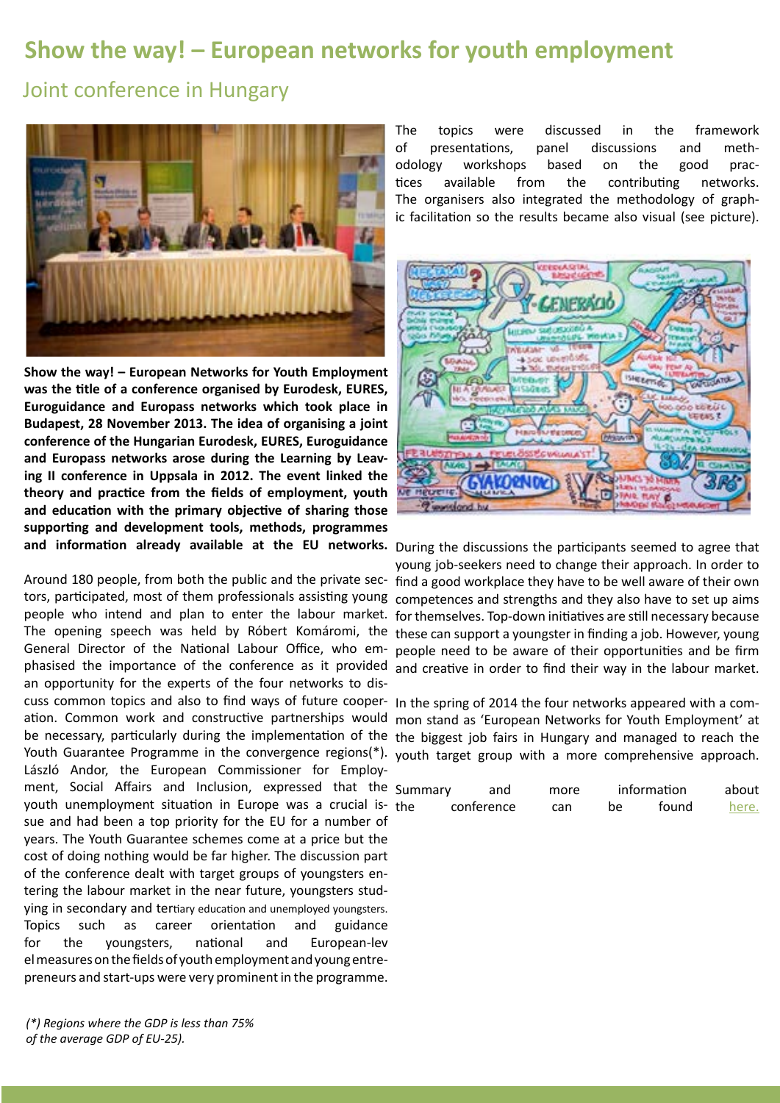#### **Show the way! – European networks for youth employment**

Joint conference in Hungary



**Show the way! – European Networks for Youth Employment was the title of a conference organised by Eurodesk, EURES, Euroguidance and Europass networks which took place in Budapest, 28 November 2013. The idea of organising a joint conference of the Hungarian Eurodesk, EURES, Euroguidance and Europass networks arose during the Learning by Leaving II conference in Uppsala in 2012. The event linked the theory and practice from the fields of employment, youth and education with the primary objective of sharing those supporting and development tools, methods, programmes and information already available at the EU networks.** During the discussions the participants seemed to agree that

tors, participated, most of them professionals assisting young competences and strengths and they also have to set up aims people who intend and plan to enter the labour market. for themselves. Top-down initiatives are still necessary because The opening speech was held by Róbert Komáromi, the these can support a youngster in finding a job. However, young General Director of the National Labour Office, who em-people need to be aware of their opportunities and be firm phasised the importance of the conference as it provided and creative in order to find their way in the labour market. an opportunity for the experts of the four networks to discuss common topics and also to find ways of future cooper-In the spring of 2014 the four networks appeared with a comation. Common work and constructive partnerships would mon stand as 'European Networks for Youth Employment' at be necessary, particularly during the implementation of the the biggest job fairs in Hungary and managed to reach the Youth Guarantee Programme in the convergence regions(\*). youth target group with a more comprehensive approach. László Andor, the European Commissioner for Employment, Social Affairs and Inclusion, expressed that the youth unemployment situation in Europe was a crucial issue and had been a top priority for the EU for a number of years. The Youth Guarantee schemes come at a price but the cost of doing nothing would be far higher. The discussion part of the conference dealt with target groups of youngsters entering the labour market in the near future, youngsters studying in secondary and tertiary education and unemployed youngsters. Topics such as career orientation and guidance for the youngsters, national and European-lev el measures on the fields of youth employment and young entrepreneurs and start-ups were very prominent in the programme.

*(\*) Regions where the GDP is less than 75% of the average GDP of EU-25).*

The topics were discussed in the framework of presentations, panel discussions and methodology workshops based on the good practices available from the contributing networks. The organisers also integrated the methodology of graphic facilitation so the results became also visual (see picture).



Around 180 people, from both the public and the private sec-find a good workplace they have to be well aware of their own young job-seekers need to change their approach. In order to

| Summary<br>and |            | more | information |       | about |
|----------------|------------|------|-------------|-------|-------|
| the            | conference | can  | be          | found | here. |